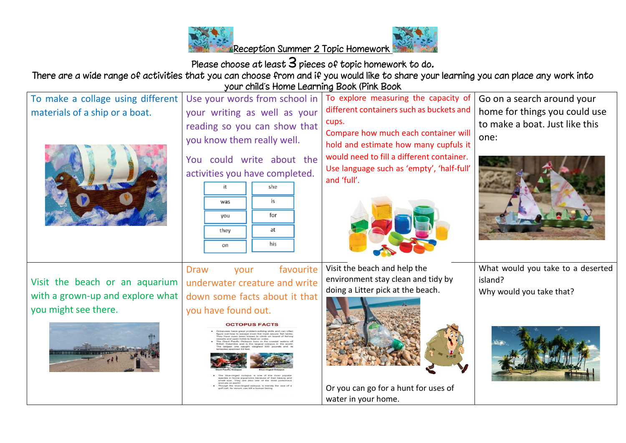



Please choose at least  $3$  pieces of topic homework to do.

There are a wide range of activities that you can choose from and if you would like to share your learning you can place any work into your child's Home Learning Book (Pink Book

| To make a collage using different<br>materials of a ship or a boat.                        | Use your words from school in<br>your writing as well as your<br>reading so you can show that<br>you know them really well.<br>You could write about the<br>activities you have completed.<br>she<br>it<br>is<br>was<br>for<br>you<br>at<br>they<br>his<br>on | To explore measuring the capacity of<br>different containers such as buckets and<br>cups.<br>Compare how much each container will<br>hold and estimate how many cupfuls it<br>would need to fill a different container.<br>Use language such as 'empty', 'half-full'<br>and 'full'. | Go on a search around your<br>home for things you could use<br>to make a boat. Just like this<br>one: |
|--------------------------------------------------------------------------------------------|---------------------------------------------------------------------------------------------------------------------------------------------------------------------------------------------------------------------------------------------------------------|-------------------------------------------------------------------------------------------------------------------------------------------------------------------------------------------------------------------------------------------------------------------------------------|-------------------------------------------------------------------------------------------------------|
| Visit the beach or an aquarium<br>with a grown-up and explore what<br>you might see there. | favourite<br><b>Draw</b><br>your<br>underwater creature and write<br>down some facts about it that<br>you have found out.<br><b>OCTOPUS FACTS</b><br>have even been known to climb on by                                                                      | Visit the beach and help the<br>environment stay clean and tidy by<br>doing a Litter pick at the beach.<br>Or you can go for a hunt for uses of<br>water in your home.                                                                                                              | What would you take to a deserted<br>island?<br>Why would you take that?                              |